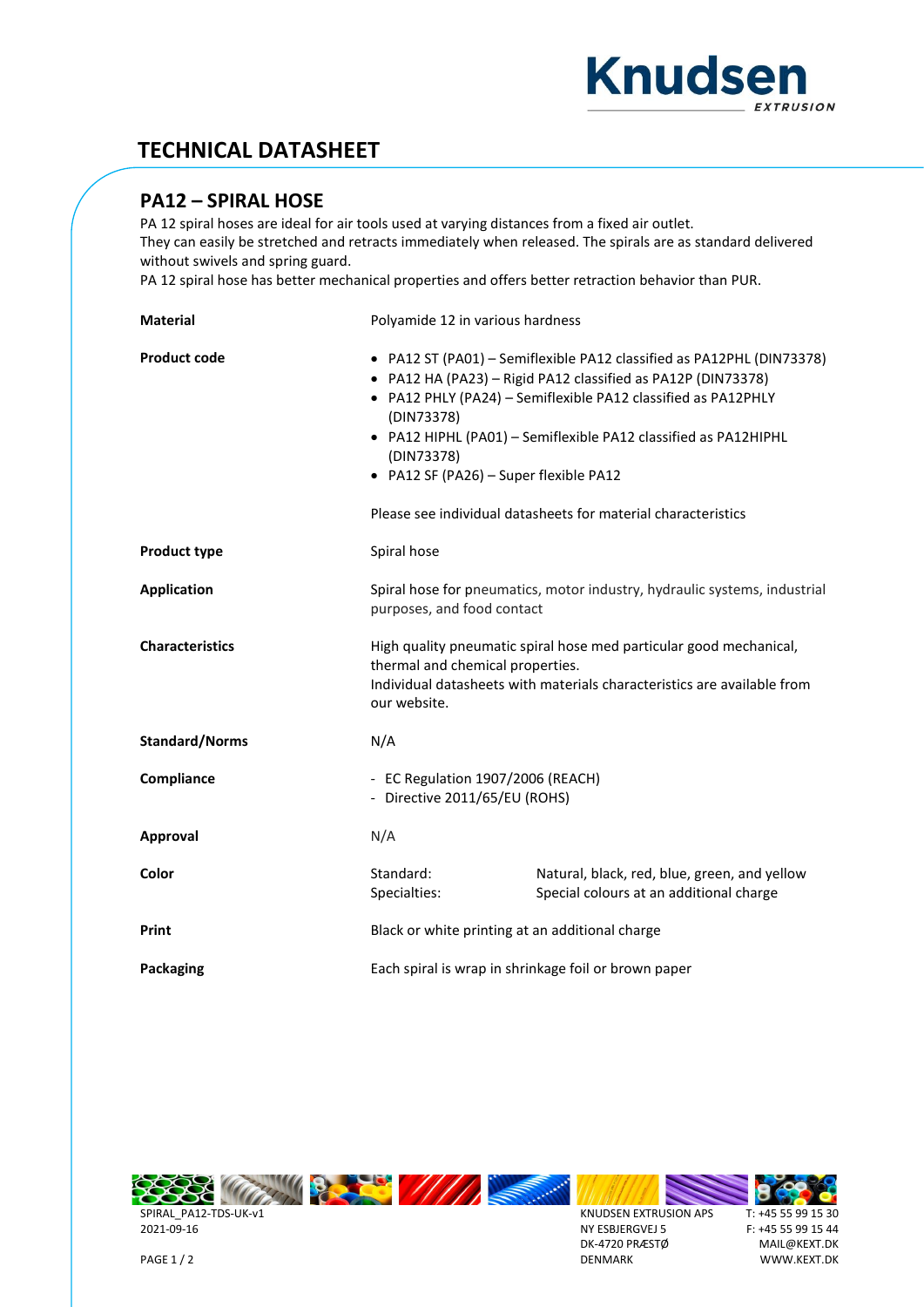

## **TECHNICAL DATASHEET**

## **PA12 – SPIRAL HOSE**

PA 12 spiral hoses are ideal for air tools used at varying distances from a fixed air outlet. They can easily be stretched and retracts immediately when released. The spirals are as standard delivered without swivels and spring guard.

PA 12 spiral hose has better mechanical properties and offers better retraction behavior than PUR.

| <b>Material</b>        | Polyamide 12 in various hardness                                                                                                                                                                                                                                                                                                                                                                                 |                                                                                         |  |  |  |
|------------------------|------------------------------------------------------------------------------------------------------------------------------------------------------------------------------------------------------------------------------------------------------------------------------------------------------------------------------------------------------------------------------------------------------------------|-----------------------------------------------------------------------------------------|--|--|--|
| <b>Product code</b>    | • PA12 ST (PA01) - Semiflexible PA12 classified as PA12PHL (DIN73378)<br>• PA12 HA (PA23) - Rigid PA12 classified as PA12P (DIN73378)<br>• PA12 PHLY (PA24) - Semiflexible PA12 classified as PA12PHLY<br>(DIN73378)<br>• PA12 HIPHL (PA01) - Semiflexible PA12 classified as PA12HIPHL<br>(DIN73378)<br>• PA12 SF (PA26) - Super flexible PA12<br>Please see individual datasheets for material characteristics |                                                                                         |  |  |  |
| <b>Product type</b>    | Spiral hose                                                                                                                                                                                                                                                                                                                                                                                                      |                                                                                         |  |  |  |
| <b>Application</b>     | Spiral hose for pneumatics, motor industry, hydraulic systems, industrial<br>purposes, and food contact                                                                                                                                                                                                                                                                                                          |                                                                                         |  |  |  |
| <b>Characteristics</b> | High quality pneumatic spiral hose med particular good mechanical,<br>thermal and chemical properties.<br>Individual datasheets with materials characteristics are available from<br>our website.                                                                                                                                                                                                                |                                                                                         |  |  |  |
| <b>Standard/Norms</b>  | N/A                                                                                                                                                                                                                                                                                                                                                                                                              |                                                                                         |  |  |  |
| Compliance             | - EC Regulation 1907/2006 (REACH)<br>- Directive 2011/65/EU (ROHS)                                                                                                                                                                                                                                                                                                                                               |                                                                                         |  |  |  |
| Approval               | N/A                                                                                                                                                                                                                                                                                                                                                                                                              |                                                                                         |  |  |  |
| Color                  | Standard:<br>Specialties:                                                                                                                                                                                                                                                                                                                                                                                        | Natural, black, red, blue, green, and yellow<br>Special colours at an additional charge |  |  |  |
| Print                  | Black or white printing at an additional charge                                                                                                                                                                                                                                                                                                                                                                  |                                                                                         |  |  |  |
| <b>Packaging</b>       | Each spiral is wrap in shrinkage foil or brown paper                                                                                                                                                                                                                                                                                                                                                             |                                                                                         |  |  |  |



SPIRAL\_PA12-TDS-UK-v1 2021-09-16

KNUDSEN EXTRUSION APS NY ESBJERGVEJ 5 DK-4720 PRÆSTØ DENMARK



PAGE 1 / 2